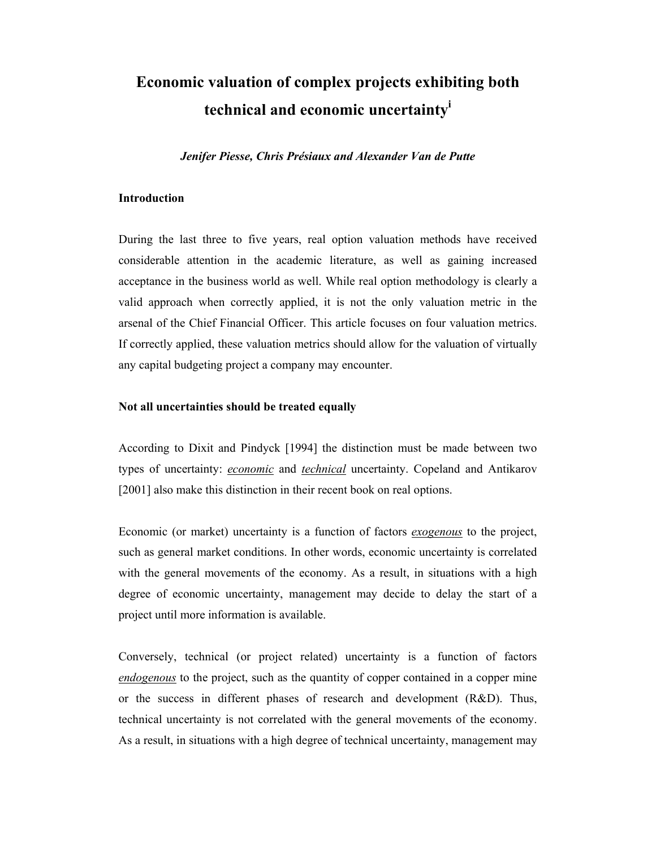# **Economic valuation of complex projects exhibiting both technical and economic uncertainty<sup>i</sup>**

*Jenifer Piesse, Chris Présiaux and Alexander Van de Putte* 

## **Introduction**

During the last three to five years, real option valuation methods have received considerable attention in the academic literature, as well as gaining increased acceptance in the business world as well. While real option methodology is clearly a valid approach when correctly applied, it is not the only valuation metric in the arsenal of the Chief Financial Officer. This article focuses on four valuation metrics. If correctly applied, these valuation metrics should allow for the valuation of virtually any capital budgeting project a company may encounter.

### **Not all uncertainties should be treated equally**

According to Dixit and Pindyck [1994] the distinction must be made between two types of uncertainty: *economic* and *technical* uncertainty. Copeland and Antikarov [2001] also make this distinction in their recent book on real options.

Economic (or market) uncertainty is a function of factors *exogenous* to the project, such as general market conditions. In other words, economic uncertainty is correlated with the general movements of the economy. As a result, in situations with a high degree of economic uncertainty, management may decide to delay the start of a project until more information is available.

Conversely, technical (or project related) uncertainty is a function of factors *endogenous* to the project, such as the quantity of copper contained in a copper mine or the success in different phases of research and development (R&D). Thus, technical uncertainty is not correlated with the general movements of the economy. As a result, in situations with a high degree of technical uncertainty, management may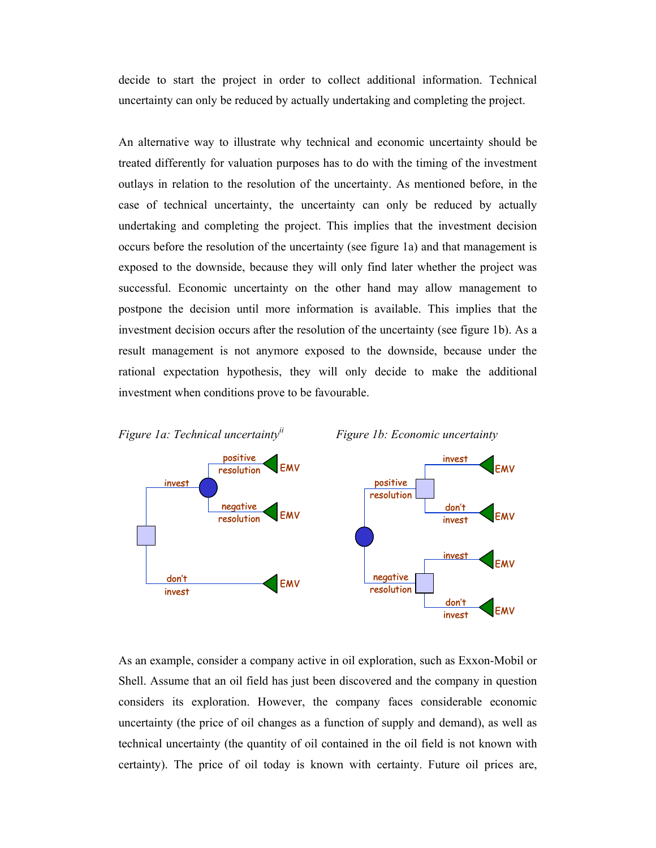decide to start the project in order to collect additional information. Technical uncertainty can only be reduced by actually undertaking and completing the project.

An alternative way to illustrate why technical and economic uncertainty should be treated differently for valuation purposes has to do with the timing of the investment outlays in relation to the resolution of the uncertainty. As mentioned before, in the case of technical uncertainty, the uncertainty can only be reduced by actually undertaking and completing the project. This implies that the investment decision occurs before the resolution of the uncertainty (see figure 1a) and that management is exposed to the downside, because they will only find later whether the project was successful. Economic uncertainty on the other hand may allow management to postpone the decision until more information is available. This implies that the investment decision occurs after the resolution of the uncertainty (see figure 1b). As a result management is not anymore exposed to the downside, because under the rational expectation hypothesis, they will only decide to make the additional investment when conditions prove to be favourable.



As an example, consider a company active in oil exploration, such as Exxon-Mobil or Shell. Assume that an oil field has just been discovered and the company in question considers its exploration. However, the company faces considerable economic uncertainty (the price of oil changes as a function of supply and demand), as well as technical uncertainty (the quantity of oil contained in the oil field is not known with certainty). The price of oil today is known with certainty. Future oil prices are,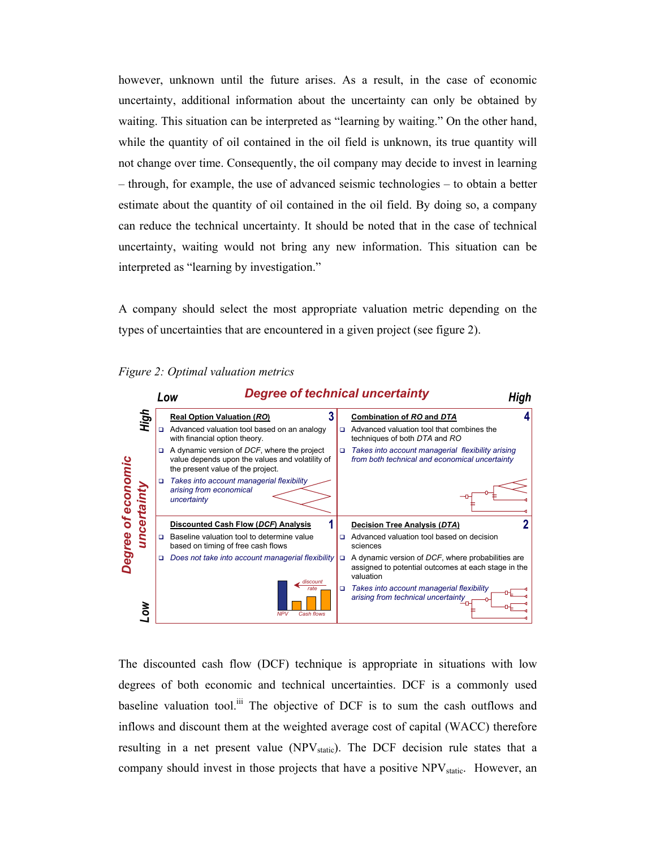however, unknown until the future arises. As a result, in the case of economic uncertainty, additional information about the uncertainty can only be obtained by waiting. This situation can be interpreted as "learning by waiting." On the other hand, while the quantity of oil contained in the oil field is unknown, its true quantity will not change over time. Consequently, the oil company may decide to invest in learning – through, for example, the use of advanced seismic technologies – to obtain a better estimate about the quantity of oil contained in the oil field. By doing so, a company can reduce the technical uncertainty. It should be noted that in the case of technical uncertainty, waiting would not bring any new information. This situation can be interpreted as "learning by investigation."

A company should select the most appropriate valuation metric depending on the types of uncertainties that are encountered in a given project (see figure 2).





The discounted cash flow (DCF) technique is appropriate in situations with low degrees of both economic and technical uncertainties. DCF is a commonly used baseline valuation tool.<sup>iii</sup> The objective of DCF is to sum the cash outflows and inflows and discount them at the weighted average cost of capital (WACC) therefore resulting in a net present value ( $NPV<sub>static</sub>$ ). The DCF decision rule states that a company should invest in those projects that have a positive  $NPV<sub>static</sub>$ . However, an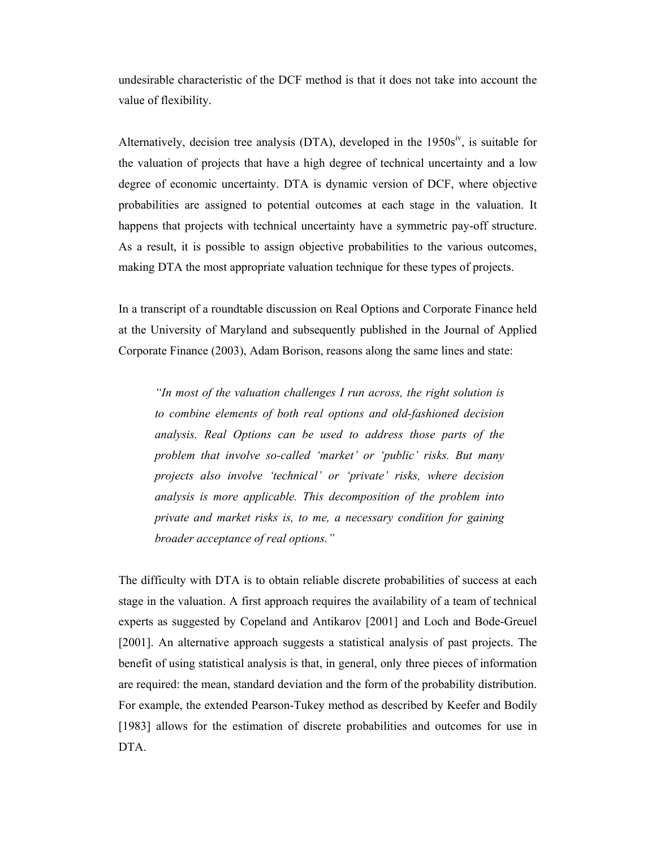undesirable characteristic of the DCF method is that it does not take into account the value of flexibility.

Alternatively, decision tree analysis (DTA), developed in the  $1950s<sup>iv</sup>$ , is suitable for the valuation of projects that have a high degree of technical uncertainty and a low degree of economic uncertainty. DTA is dynamic version of DCF, where objective probabilities are assigned to potential outcomes at each stage in the valuation. It happens that projects with technical uncertainty have a symmetric pay-off structure. As a result, it is possible to assign objective probabilities to the various outcomes, making DTA the most appropriate valuation technique for these types of projects.

In a transcript of a roundtable discussion on Real Options and Corporate Finance held at the University of Maryland and subsequently published in the Journal of Applied Corporate Finance (2003), Adam Borison, reasons along the same lines and state:

*"In most of the valuation challenges I run across, the right solution is to combine elements of both real options and old-fashioned decision analysis. Real Options can be used to address those parts of the problem that involve so-called 'market' or 'public' risks. But many projects also involve 'technical' or 'private' risks, where decision analysis is more applicable. This decomposition of the problem into private and market risks is, to me, a necessary condition for gaining broader acceptance of real options."* 

The difficulty with DTA is to obtain reliable discrete probabilities of success at each stage in the valuation. A first approach requires the availability of a team of technical experts as suggested by Copeland and Antikarov [2001] and Loch and Bode-Greuel [2001]. An alternative approach suggests a statistical analysis of past projects. The benefit of using statistical analysis is that, in general, only three pieces of information are required: the mean, standard deviation and the form of the probability distribution. For example, the extended Pearson-Tukey method as described by Keefer and Bodily [1983] allows for the estimation of discrete probabilities and outcomes for use in DTA.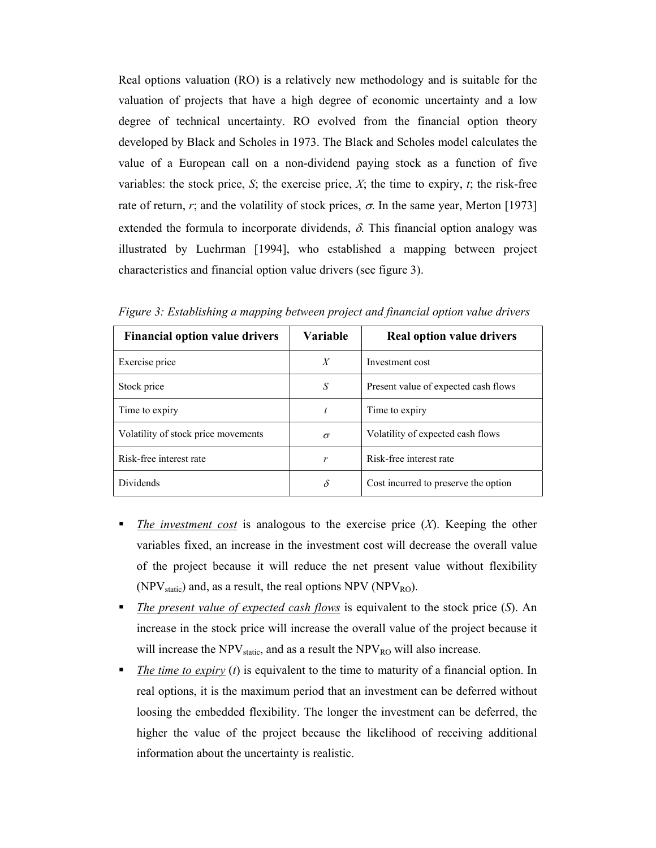Real options valuation (RO) is a relatively new methodology and is suitable for the valuation of projects that have a high degree of economic uncertainty and a low degree of technical uncertainty. RO evolved from the financial option theory developed by Black and Scholes in 1973. The Black and Scholes model calculates the value of a European call on a non-dividend paying stock as a function of five variables: the stock price,  $S$ ; the exercise price,  $X$ ; the time to expiry,  $t$ ; the risk-free rate of return, *r*; and the volatility of stock prices,  $\sigma$ . In the same year, Merton [1973] extended the formula to incorporate dividends,  $\delta$ . This financial option analogy was illustrated by Luehrman [1994], who established a mapping between project characteristics and financial option value drivers (see figure 3).

| <b>Financial option value drivers</b> | Variable         | <b>Real option value drivers</b>     |
|---------------------------------------|------------------|--------------------------------------|
| Exercise price                        | $\boldsymbol{X}$ | Investment cost                      |
| Stock price                           | S                | Present value of expected cash flows |
| Time to expiry                        | t                | Time to expiry                       |
| Volatility of stock price movements   | $\sigma$         | Volatility of expected cash flows    |
| Risk-free interest rate               | r                | Risk-free interest rate              |
| <b>Dividends</b>                      | $\delta$         | Cost incurred to preserve the option |

*Figure 3: Establishing a mapping between project and financial option value drivers* 

- **The investment cost** is analogous to the exercise price  $(X)$ . Keeping the other variables fixed, an increase in the investment cost will decrease the overall value of the project because it will reduce the net present value without flexibility (NPV<sub>static</sub>) and, as a result, the real options NPV (NPV<sub>RO</sub>).
- *The present value of expected cash flows* is equivalent to the stock price (*S*). An increase in the stock price will increase the overall value of the project because it will increase the  $NPV_{static}$ , and as a result the  $NPV_{RO}$  will also increase.
- **The time to expiry** (*t*) is equivalent to the time to maturity of a financial option. In real options, it is the maximum period that an investment can be deferred without loosing the embedded flexibility. The longer the investment can be deferred, the higher the value of the project because the likelihood of receiving additional information about the uncertainty is realistic.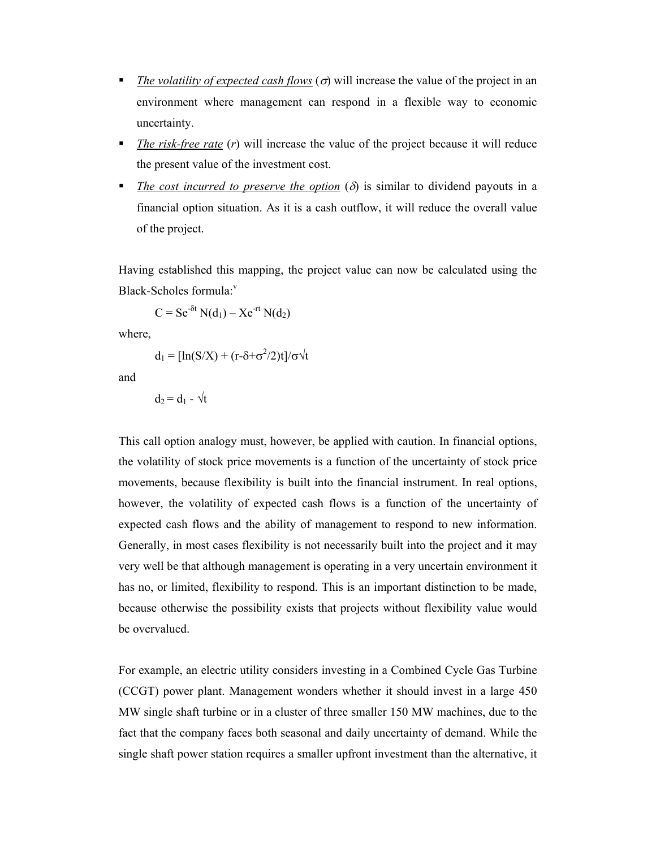- *The volatility of expected cash flows* (σ) will increase the value of the project in an environment where management can respond in a flexible way to economic uncertainty.
- *The risk-free rate* (*r*) will increase the value of the project because it will reduce the present value of the investment cost.
- *The cost incurred to preserve the option* (δ) is similar to dividend payouts in a financial option situation. As it is a cash outflow, it will reduce the overall value of the project.

Having established this mapping, the project value can now be calculated using the Black-Scholes formula: $v$ 

$$
C = Se^{-\delta t} N(d_1) - Xe^{-rt} N(d_2)
$$

where,

$$
d_1 = [\ln(S/X) + (r - \delta + \sigma^2/2)t]/\sigma \sqrt{t}
$$

and

$$
d_2 = d_1 - \sqrt{t}
$$

This call option analogy must, however, be applied with caution. In financial options, the volatility of stock price movements is a function of the uncertainty of stock price movements, because flexibility is built into the financial instrument. In real options, however, the volatility of expected cash flows is a function of the uncertainty of expected cash flows and the ability of management to respond to new information. Generally, in most cases flexibility is not necessarily built into the project and it may very well be that although management is operating in a very uncertain environment it has no, or limited, flexibility to respond. This is an important distinction to be made, because otherwise the possibility exists that projects without flexibility value would be overvalued.

For example, an electric utility considers investing in a Combined Cycle Gas Turbine (CCGT) power plant. Management wonders whether it should invest in a large 450 MW single shaft turbine or in a cluster of three smaller 150 MW machines, due to the fact that the company faces both seasonal and daily uncertainty of demand. While the single shaft power station requires a smaller upfront investment than the alternative, it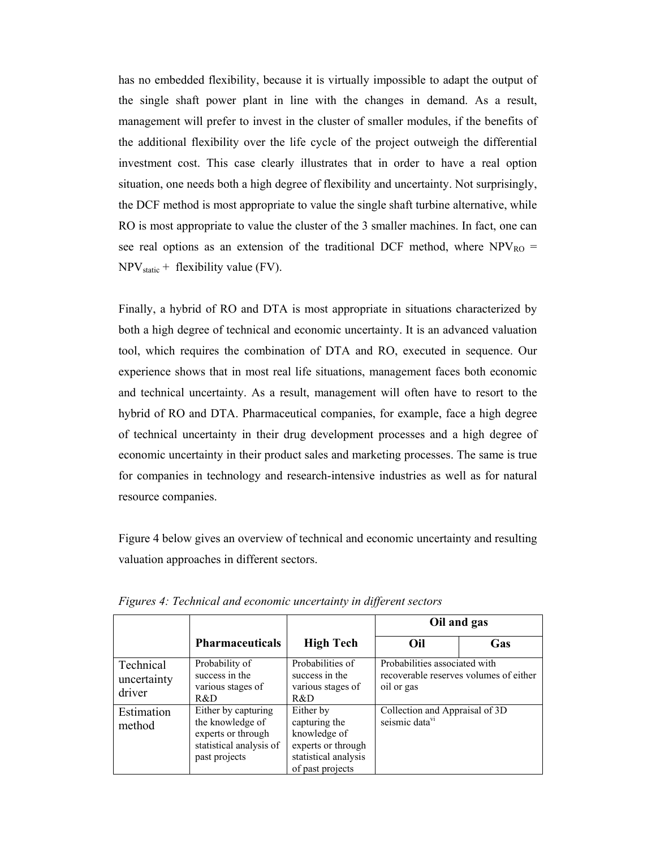has no embedded flexibility, because it is virtually impossible to adapt the output of the single shaft power plant in line with the changes in demand. As a result, management will prefer to invest in the cluster of smaller modules, if the benefits of the additional flexibility over the life cycle of the project outweigh the differential investment cost. This case clearly illustrates that in order to have a real option situation, one needs both a high degree of flexibility and uncertainty. Not surprisingly, the DCF method is most appropriate to value the single shaft turbine alternative, while RO is most appropriate to value the cluster of the 3 smaller machines. In fact, one can see real options as an extension of the traditional DCF method, where  $NPV_{RO} =$  $NPV_{static}$  + flexibility value (FV).

Finally, a hybrid of RO and DTA is most appropriate in situations characterized by both a high degree of technical and economic uncertainty. It is an advanced valuation tool, which requires the combination of DTA and RO, executed in sequence. Our experience shows that in most real life situations, management faces both economic and technical uncertainty. As a result, management will often have to resort to the hybrid of RO and DTA. Pharmaceutical companies, for example, face a high degree of technical uncertainty in their drug development processes and a high degree of economic uncertainty in their product sales and marketing processes. The same is true for companies in technology and research-intensive industries as well as for natural resource companies.

Figure 4 below gives an overview of technical and economic uncertainty and resulting valuation approaches in different sectors.

|                                    |                                                                                                           |                                                                                                              |                                                              | Oil and gas                            |
|------------------------------------|-----------------------------------------------------------------------------------------------------------|--------------------------------------------------------------------------------------------------------------|--------------------------------------------------------------|----------------------------------------|
|                                    | <b>Pharmaceuticals</b>                                                                                    | <b>High Tech</b>                                                                                             | Oil                                                          | Gas                                    |
| Technical<br>uncertainty<br>driver | Probability of<br>success in the<br>various stages of<br>R&D                                              | Probabilities of<br>success in the<br>various stages of<br>R&D                                               | Probabilities associated with<br>oil or gas                  | recoverable reserves volumes of either |
| Estimation<br>method               | Either by capturing<br>the knowledge of<br>experts or through<br>statistical analysis of<br>past projects | Either by<br>capturing the<br>knowledge of<br>experts or through<br>statistical analysis<br>of past projects | Collection and Appraisal of 3D<br>seismic data <sup>vi</sup> |                                        |

*Figures 4: Technical and economic uncertainty in different sectors*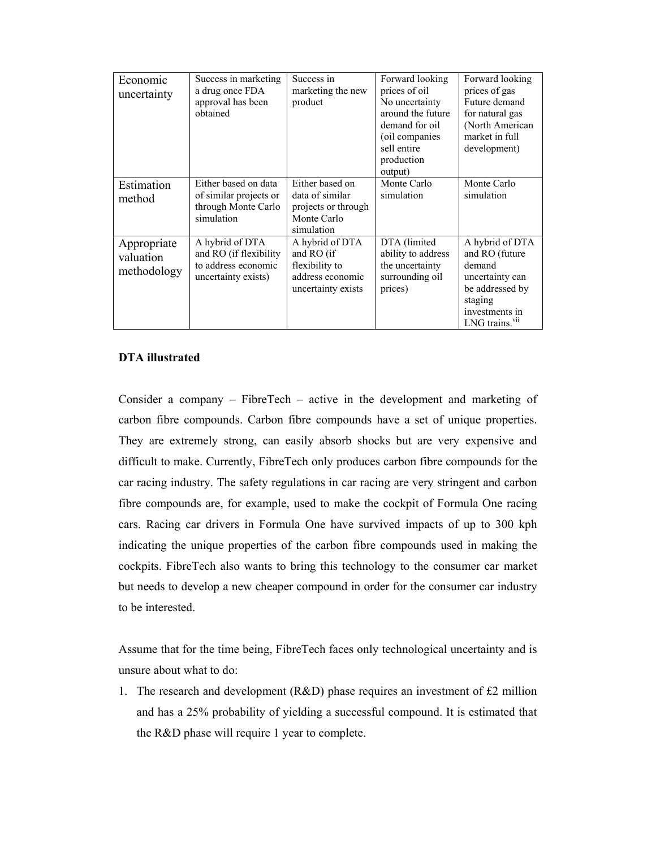| Economic<br>uncertainty                 | Success in marketing<br>a drug once FDA<br>approval has been<br>obtained                | Success in<br>marketing the new<br>product                                                | Forward looking<br>prices of oil<br>No uncertainty<br>around the future<br>demand for oil<br>(oil companies<br>sell entire<br>production<br>output) | Forward looking<br>prices of gas<br>Future demand<br>for natural gas<br>(North American<br>market in full<br>development)                    |
|-----------------------------------------|-----------------------------------------------------------------------------------------|-------------------------------------------------------------------------------------------|-----------------------------------------------------------------------------------------------------------------------------------------------------|----------------------------------------------------------------------------------------------------------------------------------------------|
| Estimation<br>method                    | Either based on data<br>of similar projects or<br>through Monte Carlo<br>simulation     | Either based on<br>data of similar<br>projects or through<br>Monte Carlo<br>simulation    | Monte Carlo<br>simulation                                                                                                                           | Monte Carlo<br>simulation                                                                                                                    |
| Appropriate<br>valuation<br>methodology | A hybrid of DTA<br>and RO (if flexibility<br>to address economic<br>uncertainty exists) | A hybrid of DTA<br>and RO (if<br>flexibility to<br>address economic<br>uncertainty exists | DTA (limited<br>ability to address<br>the uncertainty<br>surrounding oil<br>prices)                                                                 | A hybrid of DTA<br>and RO (future<br>demand<br>uncertainty can<br>be addressed by<br>staging<br>investments in<br>LNG trains. <sup>vii</sup> |

# **DTA illustrated**

Consider a company – FibreTech – active in the development and marketing of carbon fibre compounds. Carbon fibre compounds have a set of unique properties. They are extremely strong, can easily absorb shocks but are very expensive and difficult to make. Currently, FibreTech only produces carbon fibre compounds for the car racing industry. The safety regulations in car racing are very stringent and carbon fibre compounds are, for example, used to make the cockpit of Formula One racing cars. Racing car drivers in Formula One have survived impacts of up to 300 kph indicating the unique properties of the carbon fibre compounds used in making the cockpits. FibreTech also wants to bring this technology to the consumer car market but needs to develop a new cheaper compound in order for the consumer car industry to be interested.

Assume that for the time being, FibreTech faces only technological uncertainty and is unsure about what to do:

1. The research and development (R&D) phase requires an investment of £2 million and has a 25% probability of yielding a successful compound. It is estimated that the R&D phase will require 1 year to complete.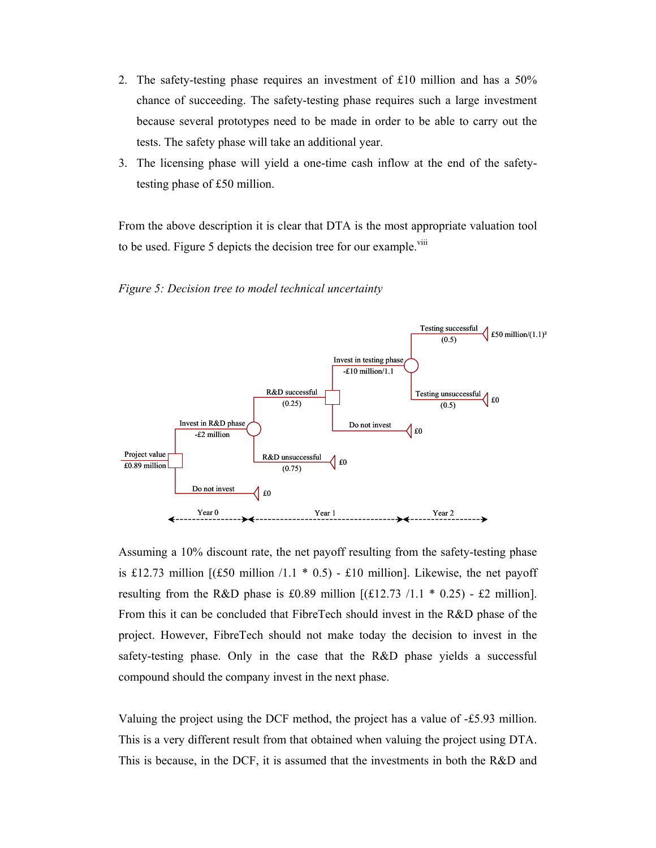- 2. The safety-testing phase requires an investment of £10 million and has a 50% chance of succeeding. The safety-testing phase requires such a large investment because several prototypes need to be made in order to be able to carry out the tests. The safety phase will take an additional year.
- 3. The licensing phase will yield a one-time cash inflow at the end of the safetytesting phase of £50 million.

From the above description it is clear that DTA is the most appropriate valuation tool to be used. Figure 5 depicts the decision tree for our example.<sup>viii</sup>





Assuming a 10% discount rate, the net payoff resulting from the safety-testing phase is £12.73 million  $[(£50 \text{ million } /1.1 * 0.5) - £10 \text{ million}]$ . Likewise, the net payoff resulting from the R&D phase is £0.89 million  $[(\text{\textsterling}12.73 /1.1 * 0.25) - \text{\textsterling}2$  million]. From this it can be concluded that FibreTech should invest in the R&D phase of the project. However, FibreTech should not make today the decision to invest in the safety-testing phase. Only in the case that the R&D phase yields a successful compound should the company invest in the next phase.

Valuing the project using the DCF method, the project has a value of -£5.93 million. This is a very different result from that obtained when valuing the project using DTA. This is because, in the DCF, it is assumed that the investments in both the R&D and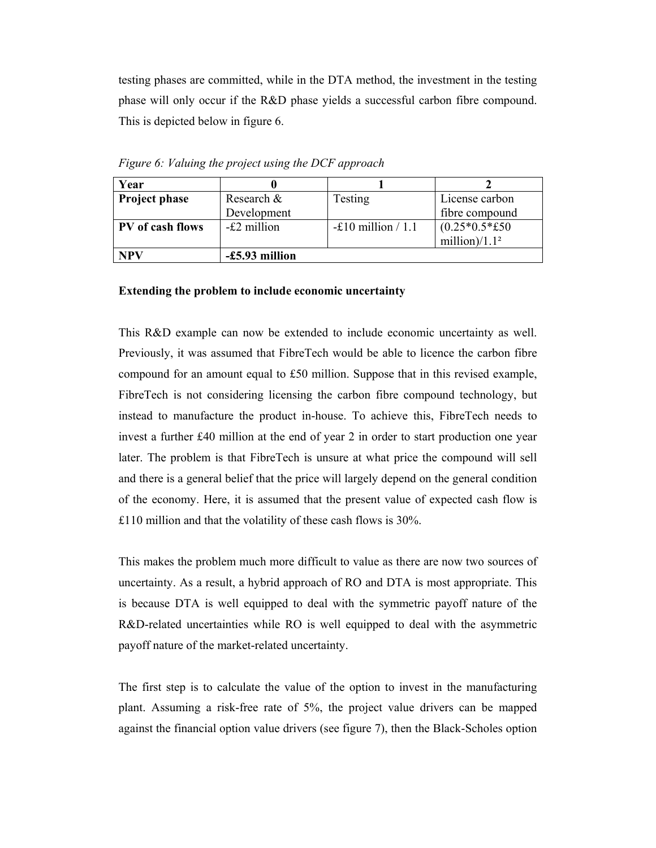testing phases are committed, while in the DTA method, the investment in the testing phase will only occur if the R&D phase yields a successful carbon fibre compound. This is depicted below in figure 6.

| Year                    |                |                            |                  |
|-------------------------|----------------|----------------------------|------------------|
| <b>Project phase</b>    | Research &     | Testing                    | License carbon   |
|                         | Development    |                            | fibre compound   |
| <b>PV</b> of cash flows | -£2 million    | $-\pounds10$ million / 1.1 | $(0.25*0.5*£50)$ |
|                         |                |                            | million)/ $1.12$ |
| <b>NPV</b>              | -£5.93 million |                            |                  |

*Figure 6: Valuing the project using the DCF approach* 

#### **Extending the problem to include economic uncertainty**

This R&D example can now be extended to include economic uncertainty as well. Previously, it was assumed that FibreTech would be able to licence the carbon fibre compound for an amount equal to £50 million. Suppose that in this revised example, FibreTech is not considering licensing the carbon fibre compound technology, but instead to manufacture the product in-house. To achieve this, FibreTech needs to invest a further £40 million at the end of year 2 in order to start production one year later. The problem is that FibreTech is unsure at what price the compound will sell and there is a general belief that the price will largely depend on the general condition of the economy. Here, it is assumed that the present value of expected cash flow is £110 million and that the volatility of these cash flows is 30%.

This makes the problem much more difficult to value as there are now two sources of uncertainty. As a result, a hybrid approach of RO and DTA is most appropriate. This is because DTA is well equipped to deal with the symmetric payoff nature of the R&D-related uncertainties while RO is well equipped to deal with the asymmetric payoff nature of the market-related uncertainty.

The first step is to calculate the value of the option to invest in the manufacturing plant. Assuming a risk-free rate of 5%, the project value drivers can be mapped against the financial option value drivers (see figure 7), then the Black-Scholes option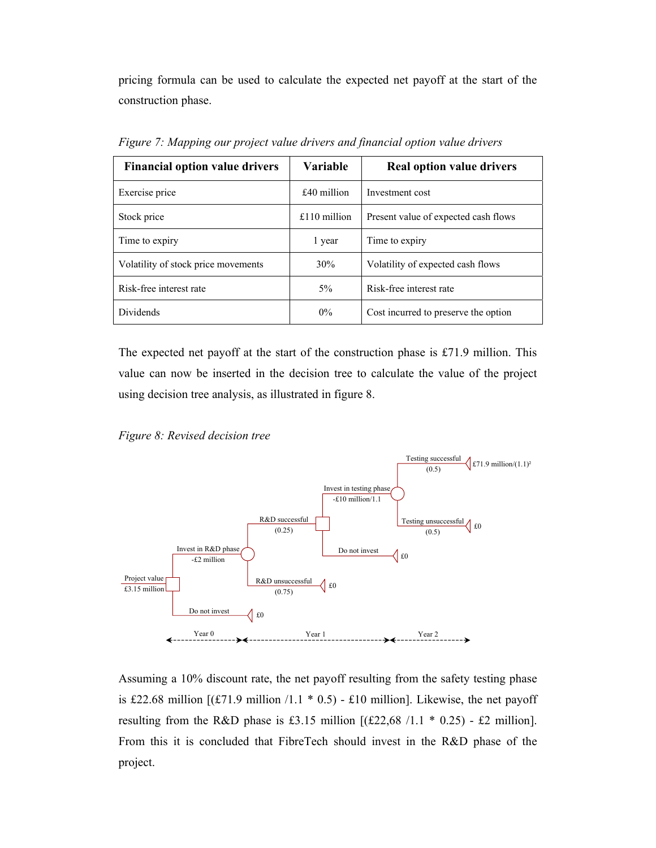pricing formula can be used to calculate the expected net payoff at the start of the construction phase.

| <b>Financial option value drivers</b> | <b>Variable</b> | <b>Real option value drivers</b>     |
|---------------------------------------|-----------------|--------------------------------------|
| Exercise price                        | £40 million     | Investment cost                      |
| Stock price                           | $£110$ million  | Present value of expected cash flows |
| Time to expiry                        | 1 year          | Time to expiry                       |
| Volatility of stock price movements   | 30%             | Volatility of expected cash flows    |
| Risk-free interest rate               | 5%              | Risk-free interest rate              |
| <b>Dividends</b>                      | $0\%$           | Cost incurred to preserve the option |

*Figure 7: Mapping our project value drivers and financial option value drivers* 

The expected net payoff at the start of the construction phase is £71.9 million. This value can now be inserted in the decision tree to calculate the value of the project using decision tree analysis, as illustrated in figure 8.





Assuming a 10% discount rate, the net payoff resulting from the safety testing phase is £22.68 million  $[(\text{\textsterling}71.9 \text{ million}/1.1 * 0.5) - \text{\textsterling}10 \text{ million}]$ . Likewise, the net payoff resulting from the R&D phase is £3.15 million  $[(\text{\pounds}22,68 /1.1 * 0.25) - \text{\pounds}2$  million]. From this it is concluded that FibreTech should invest in the R&D phase of the project.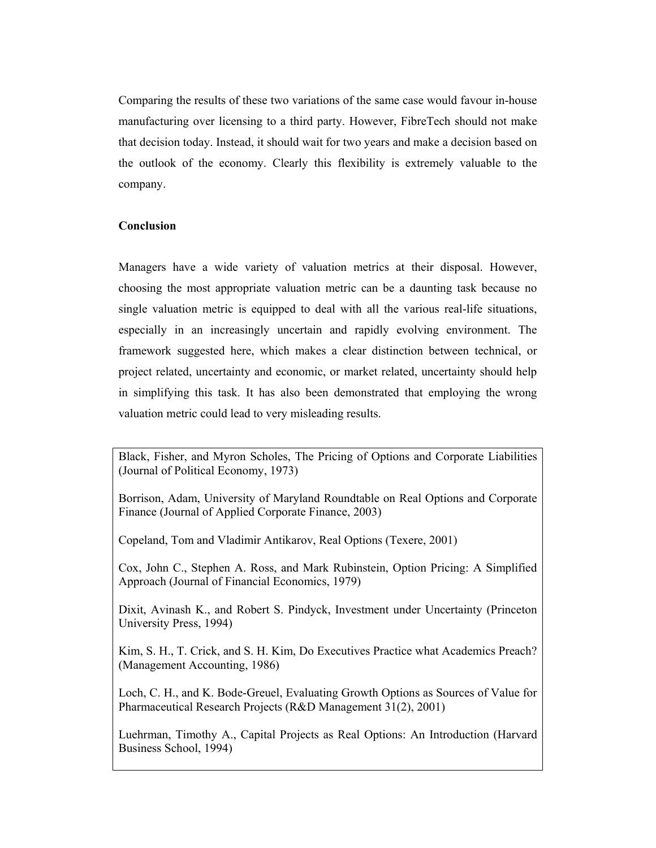Comparing the results of these two variations of the same case would favour in-house manufacturing over licensing to a third party. However, FibreTech should not make that decision today. Instead, it should wait for two years and make a decision based on the outlook of the economy. Clearly this flexibility is extremely valuable to the company.

## **Conclusion**

Managers have a wide variety of valuation metrics at their disposal. However, choosing the most appropriate valuation metric can be a daunting task because no single valuation metric is equipped to deal with all the various real-life situations, especially in an increasingly uncertain and rapidly evolving environment. The framework suggested here, which makes a clear distinction between technical, or project related, uncertainty and economic, or market related, uncertainty should help in simplifying this task. It has also been demonstrated that employing the wrong valuation metric could lead to very misleading results.

Black, Fisher, and Myron Scholes, The Pricing of Options and Corporate Liabilities (Journal of Political Economy, 1973)

Borrison, Adam, University of Maryland Roundtable on Real Options and Corporate Finance (Journal of Applied Corporate Finance, 2003)

Copeland, Tom and Vladimir Antikarov, Real Options (Texere, 2001)

Cox, John C., Stephen A. Ross, and Mark Rubinstein, Option Pricing: A Simplified Approach (Journal of Financial Economics, 1979)

Dixit, Avinash K., and Robert S. Pindyck, Investment under Uncertainty (Princeton University Press, 1994)

Kim, S. H., T. Crick, and S. H. Kim, Do Executives Practice what Academics Preach? (Management Accounting, 1986)

Loch, C. H., and K. Bode-Greuel, Evaluating Growth Options as Sources of Value for Pharmaceutical Research Projects (R&D Management 31(2), 2001)

Luehrman, Timothy A., Capital Projects as Real Options: An Introduction (Harvard Business School, 1994)